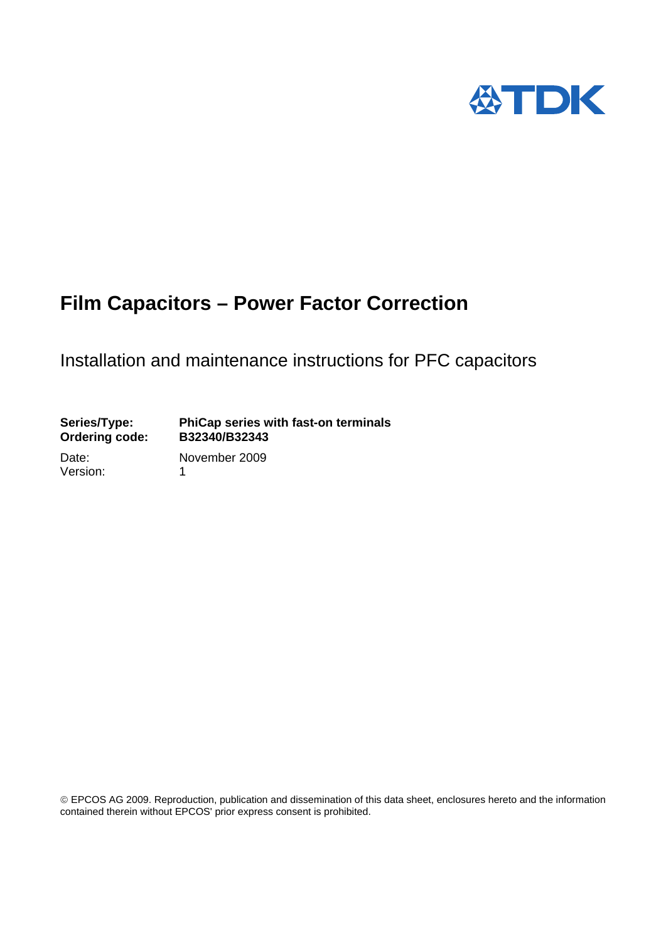

# Installation and maintenance instructions for PFC capacitors

# **Series/Type: PhiCap series with fast-on terminals Ordering code:**

Version: 1

Date: November 2009

 EPCOS AG 2009. Reproduction, publication and dissemination of this data sheet, enclosures hereto and the information contained therein without EPCOS' prior express consent is prohibited.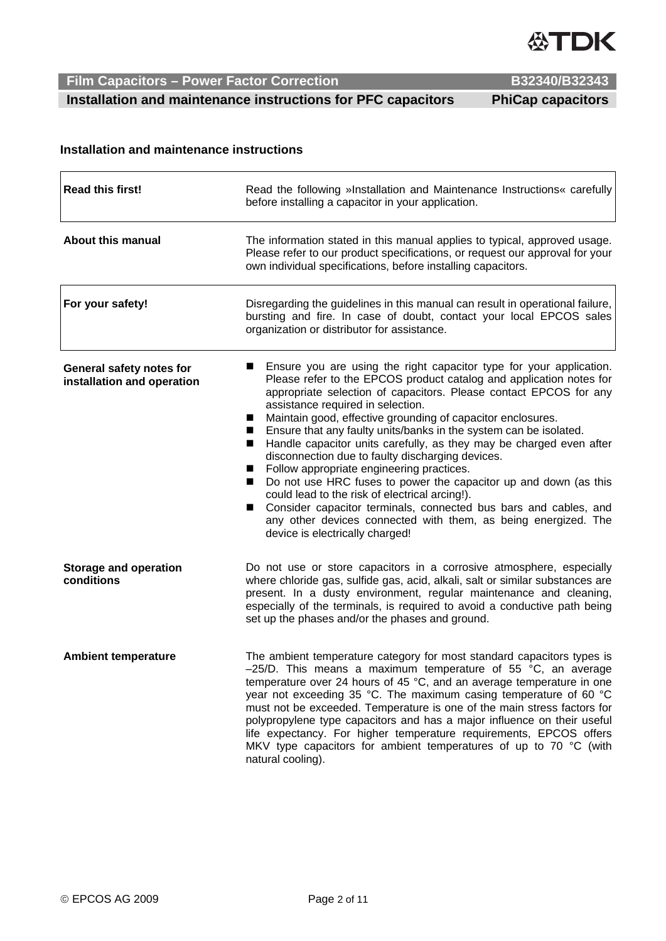

 **Installation and maintenance instructions for PFC capacitors PhiCap capacitors** 

### **Installation and maintenance instructions**

| <b>Read this first!</b>                                | Read the following »Installation and Maintenance Instructions« carefully<br>before installing a capacitor in your application.                                                                                                                                                                                                                                                                                                                                                                                                                                                                                                                                                                                                                                                                                                                                                                                      |  |
|--------------------------------------------------------|---------------------------------------------------------------------------------------------------------------------------------------------------------------------------------------------------------------------------------------------------------------------------------------------------------------------------------------------------------------------------------------------------------------------------------------------------------------------------------------------------------------------------------------------------------------------------------------------------------------------------------------------------------------------------------------------------------------------------------------------------------------------------------------------------------------------------------------------------------------------------------------------------------------------|--|
| <b>About this manual</b>                               | The information stated in this manual applies to typical, approved usage.<br>Please refer to our product specifications, or request our approval for your<br>own individual specifications, before installing capacitors.                                                                                                                                                                                                                                                                                                                                                                                                                                                                                                                                                                                                                                                                                           |  |
| For your safety!                                       | Disregarding the guidelines in this manual can result in operational failure,<br>bursting and fire. In case of doubt, contact your local EPCOS sales<br>organization or distributor for assistance.                                                                                                                                                                                                                                                                                                                                                                                                                                                                                                                                                                                                                                                                                                                 |  |
| General safety notes for<br>installation and operation | Ensure you are using the right capacitor type for your application.<br>Please refer to the EPCOS product catalog and application notes for<br>appropriate selection of capacitors. Please contact EPCOS for any<br>assistance required in selection.<br>Maintain good, effective grounding of capacitor enclosures.<br>Ensure that any faulty units/banks in the system can be isolated.<br>Handle capacitor units carefully, as they may be charged even after<br>disconnection due to faulty discharging devices.<br>Follow appropriate engineering practices.<br>$\mathbf{r}$<br>Do not use HRC fuses to power the capacitor up and down (as this<br>$\blacksquare$<br>could lead to the risk of electrical arcing!).<br>Consider capacitor terminals, connected bus bars and cables, and<br>$\blacksquare$<br>any other devices connected with them, as being energized. The<br>device is electrically charged! |  |
| <b>Storage and operation</b><br>conditions             | Do not use or store capacitors in a corrosive atmosphere, especially<br>where chloride gas, sulfide gas, acid, alkali, salt or similar substances are<br>present. In a dusty environment, regular maintenance and cleaning,<br>especially of the terminals, is required to avoid a conductive path being<br>set up the phases and/or the phases and ground.                                                                                                                                                                                                                                                                                                                                                                                                                                                                                                                                                         |  |
| <b>Ambient temperature</b>                             | The ambient temperature category for most standard capacitors types is<br>$-25/D$ . This means a maximum temperature of 55 °C, an average<br>temperature over 24 hours of 45 °C, and an average temperature in one<br>year not exceeding 35 °C. The maximum casing temperature of 60 °C<br>must not be exceeded. Temperature is one of the main stress factors for<br>polypropylene type capacitors and has a major influence on their useful<br>life expectancy. For higher temperature requirements, EPCOS offers<br>MKV type capacitors for ambient temperatures of up to 70 °C (with<br>natural cooling).                                                                                                                                                                                                                                                                                                       |  |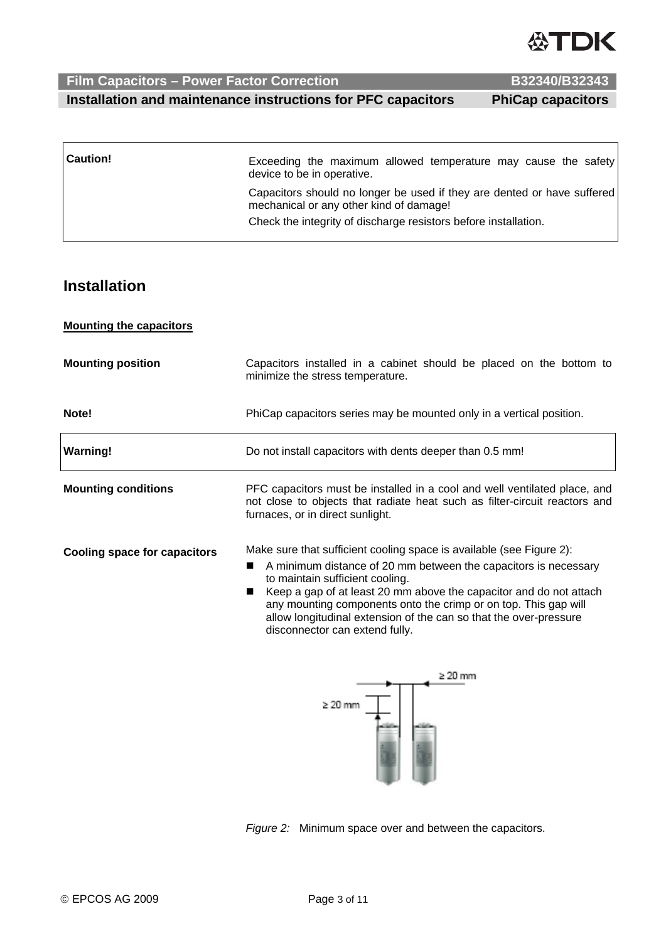**Installation** 

### **Mounting the capacitors**

| <b>Mounting position</b>            | Capacitors installed in a cabinet should be placed on the bottom to<br>minimize the stress temperature.                                                                                                                                                                                                                                                                                                                    |  |  |
|-------------------------------------|----------------------------------------------------------------------------------------------------------------------------------------------------------------------------------------------------------------------------------------------------------------------------------------------------------------------------------------------------------------------------------------------------------------------------|--|--|
| Note!                               | PhiCap capacitors series may be mounted only in a vertical position.                                                                                                                                                                                                                                                                                                                                                       |  |  |
| <b>Warning!</b>                     | Do not install capacitors with dents deeper than 0.5 mm!                                                                                                                                                                                                                                                                                                                                                                   |  |  |
| <b>Mounting conditions</b>          | PFC capacitors must be installed in a cool and well ventilated place, and<br>not close to objects that radiate heat such as filter-circuit reactors and<br>furnaces, or in direct sunlight.                                                                                                                                                                                                                                |  |  |
| <b>Cooling space for capacitors</b> | Make sure that sufficient cooling space is available (see Figure 2):<br>A minimum distance of 20 mm between the capacitors is necessary<br>to maintain sufficient cooling.<br>Keep a gap of at least 20 mm above the capacitor and do not attach<br>any mounting components onto the crimp or on top. This gap will<br>allow longitudinal extension of the can so that the over-pressure<br>disconnector can extend fully. |  |  |

**Caution!** Exceeding the maximum allowed temperature may cause the safety

mechanical or any other kind of damage!

device to be in operative.



*Figure 2:* Minimum space over and between the capacitors.

**Film Capacitors – Power Factor Correction B32340/B32343** 

## **Installation and maintenance instructions for PFC capacitors PhiCap capacitors**

Capacitors should no longer be used if they are dented or have suffered

Check the integrity of discharge resistors before installation.

**ASTDK**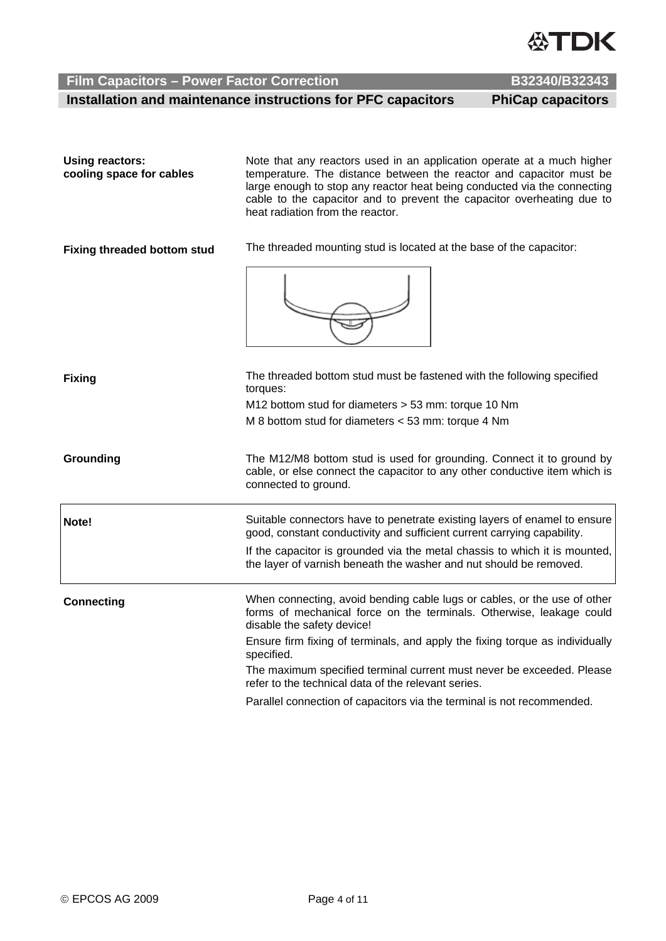**Using reactors:** 

 **Installation and maintenance instructions for PFC capacitors PhiCap capacitors** 

| cooling space for cables           | temperature. The distance between the reactor and capacitor must be<br>large enough to stop any reactor heat being conducted via the connecting<br>cable to the capacitor and to prevent the capacitor overheating due to<br>heat radiation from the reactor. |  |  |
|------------------------------------|---------------------------------------------------------------------------------------------------------------------------------------------------------------------------------------------------------------------------------------------------------------|--|--|
| <b>Fixing threaded bottom stud</b> | The threaded mounting stud is located at the base of the capacitor:                                                                                                                                                                                           |  |  |
|                                    |                                                                                                                                                                                                                                                               |  |  |
| <b>Fixing</b>                      | The threaded bottom stud must be fastened with the following specified<br>torques:                                                                                                                                                                            |  |  |
|                                    | M12 bottom stud for diameters > 53 mm: torque 10 Nm                                                                                                                                                                                                           |  |  |
|                                    | M 8 bottom stud for diameters < 53 mm: torque 4 Nm                                                                                                                                                                                                            |  |  |
| Grounding                          | The M12/M8 bottom stud is used for grounding. Connect it to ground by<br>cable, or else connect the capacitor to any other conductive item which is<br>connected to ground.                                                                                   |  |  |
| Note!                              | Suitable connectors have to penetrate existing layers of enamel to ensure<br>good, constant conductivity and sufficient current carrying capability.                                                                                                          |  |  |
|                                    | If the capacitor is grounded via the metal chassis to which it is mounted,<br>the layer of varnish beneath the washer and nut should be removed.                                                                                                              |  |  |
| <b>Connecting</b>                  | When connecting, avoid bending cable lugs or cables, or the use of other<br>forms of mechanical force on the terminals. Otherwise, leakage could<br>disable the safety device!                                                                                |  |  |
|                                    | Ensure firm fixing of terminals, and apply the fixing torque as individually<br>specified.                                                                                                                                                                    |  |  |
|                                    | The maximum specified terminal current must never be exceeded. Please<br>refer to the technical data of the relevant series.                                                                                                                                  |  |  |

Parallel connection of capacitors via the terminal is not recommended.

Note that any reactors used in an application operate at a much higher

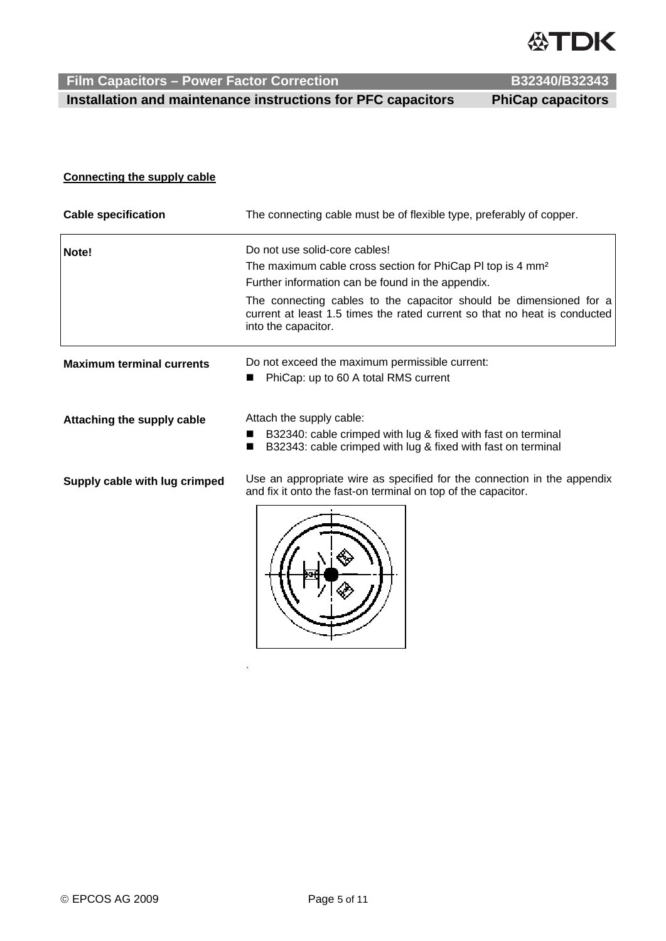

 **Installation and maintenance instructions for PFC capacitors PhiCap capacitors** 

.

### **Connecting the supply cable**

| <b>Cable specification</b>       | The connecting cable must be of flexible type, preferably of copper.                                                                                                   |  |  |
|----------------------------------|------------------------------------------------------------------------------------------------------------------------------------------------------------------------|--|--|
| Note!                            | Do not use solid-core cables!                                                                                                                                          |  |  |
|                                  | The maximum cable cross section for PhiCap PI top is 4 mm <sup>2</sup><br>Further information can be found in the appendix.                                            |  |  |
|                                  | The connecting cables to the capacitor should be dimensioned for a<br>current at least 1.5 times the rated current so that no heat is conducted<br>into the capacitor. |  |  |
| <b>Maximum terminal currents</b> | Do not exceed the maximum permissible current:                                                                                                                         |  |  |
|                                  | PhiCap: up to 60 A total RMS current<br>■                                                                                                                              |  |  |
| Attaching the supply cable       | Attach the supply cable:                                                                                                                                               |  |  |
|                                  | B32340: cable crimped with lug & fixed with fast on terminal<br>B32343: cable crimped with lug & fixed with fast on terminal<br>■                                      |  |  |
| Supply cable with lug crimped    | Use an appropriate wire as specified for the connection in the appendix<br>and fix it onto the fast-on terminal on top of the capacitor.                               |  |  |
|                                  |                                                                                                                                                                        |  |  |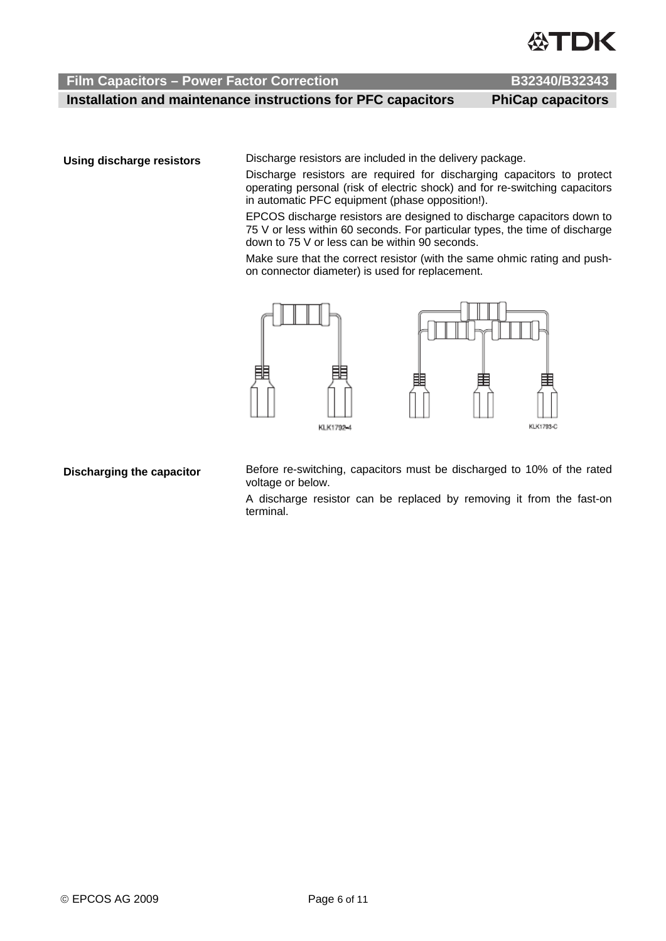

 **Installation and maintenance instructions for PFC capacitors PhiCap capacitors** 

**Using discharge resistors** Discharge resistors are included in the delivery package.

Discharge resistors are required for discharging capacitors to protect operating personal (risk of electric shock) and for re-switching capacitors in automatic PFC equipment (phase opposition!).

EPCOS discharge resistors are designed to discharge capacitors down to 75 V or less within 60 seconds. For particular types, the time of discharge down to 75 V or less can be within 90 seconds.

Make sure that the correct resistor (with the same ohmic rating and pushon connector diameter) is used for replacement.



**Discharging the capacitor** Before re-switching, capacitors must be discharged to 10% of the rated voltage or below.

> A discharge resistor can be replaced by removing it from the fast-on terminal.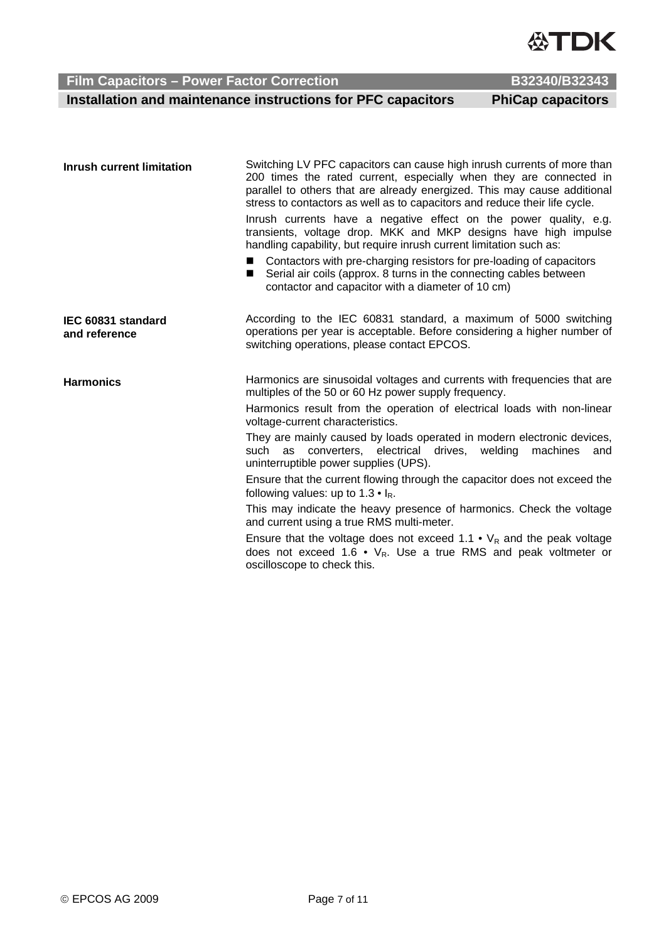

# **Film Capacitors – Power Factor Correction B32340/B32343 B32340/B32343**

 **Installation and maintenance instructions for PFC capacitors PhiCap capacitors** 

| <b>Inrush current limitation</b>    | Switching LV PFC capacitors can cause high inrush currents of more than<br>200 times the rated current, especially when they are connected in<br>parallel to others that are already energized. This may cause additional<br>stress to contactors as well as to capacitors and reduce their life cycle. |
|-------------------------------------|---------------------------------------------------------------------------------------------------------------------------------------------------------------------------------------------------------------------------------------------------------------------------------------------------------|
|                                     | Inrush currents have a negative effect on the power quality, e.g.<br>transients, voltage drop. MKK and MKP designs have high impulse<br>handling capability, but require inrush current limitation such as:                                                                                             |
|                                     | Contactors with pre-charging resistors for pre-loading of capacitors<br>٠<br>Serial air coils (approx. 8 turns in the connecting cables between<br>■<br>contactor and capacitor with a diameter of 10 cm)                                                                                               |
| IEC 60831 standard<br>and reference | According to the IEC 60831 standard, a maximum of 5000 switching<br>operations per year is acceptable. Before considering a higher number of<br>switching operations, please contact EPCOS.                                                                                                             |
| <b>Harmonics</b>                    | Harmonics are sinusoidal voltages and currents with frequencies that are<br>multiples of the 50 or 60 Hz power supply frequency.                                                                                                                                                                        |
|                                     | Harmonics result from the operation of electrical loads with non-linear<br>voltage-current characteristics.                                                                                                                                                                                             |
|                                     | They are mainly caused by loads operated in modern electronic devices,<br>such as converters, electrical drives, welding<br>machines<br>and<br>uninterruptible power supplies (UPS).                                                                                                                    |
|                                     | Ensure that the current flowing through the capacitor does not exceed the<br>following values: up to $1.3 \cdot I_R$ .                                                                                                                                                                                  |
|                                     | This may indicate the heavy presence of harmonics. Check the voltage<br>and current using a true RMS multi-meter.                                                                                                                                                                                       |
|                                     | Ensure that the voltage does not exceed 1.1 • $V_R$ and the peak voltage<br>does not exceed 1.6 • $V_R$ . Use a true RMS and peak voltmeter or                                                                                                                                                          |

oscilloscope to check this.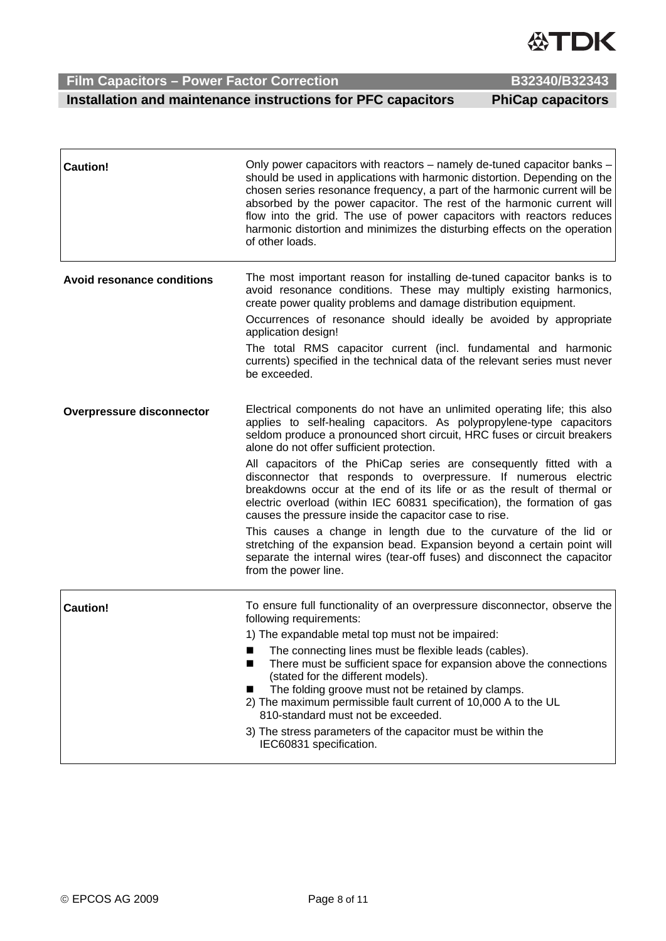**Installation and maintenance instructions for PFC capacitors PhiCap capacitors** 

|                                   | should be used in applications with harmonic distortion. Depending on the<br>chosen series resonance frequency, a part of the harmonic current will be<br>absorbed by the power capacitor. The rest of the harmonic current will<br>flow into the grid. The use of power capacitors with reactors reduces<br>harmonic distortion and minimizes the disturbing effects on the operation<br>of other loads. |
|-----------------------------------|-----------------------------------------------------------------------------------------------------------------------------------------------------------------------------------------------------------------------------------------------------------------------------------------------------------------------------------------------------------------------------------------------------------|
| <b>Avoid resonance conditions</b> | The most important reason for installing de-tuned capacitor banks is to<br>avoid resonance conditions. These may multiply existing harmonics,<br>create power quality problems and damage distribution equipment.                                                                                                                                                                                         |
|                                   | Occurrences of resonance should ideally be avoided by appropriate<br>application design!                                                                                                                                                                                                                                                                                                                  |
|                                   | The total RMS capacitor current (incl. fundamental and harmonic<br>currents) specified in the technical data of the relevant series must never<br>be exceeded.                                                                                                                                                                                                                                            |
| <b>Overpressure disconnector</b>  | Electrical components do not have an unlimited operating life; this also<br>applies to self-healing capacitors. As polypropylene-type capacitors<br>seldom produce a pronounced short circuit, HRC fuses or circuit breakers<br>alone do not offer sufficient protection.                                                                                                                                 |
|                                   | All capacitors of the PhiCap series are consequently fitted with a<br>disconnector that responds to overpressure. If numerous electric<br>breakdowns occur at the end of its life or as the result of thermal or<br>electric overload (within IEC 60831 specification), the formation of gas<br>causes the pressure inside the capacitor case to rise.                                                    |
|                                   | This causes a change in length due to the curvature of the lid or<br>stretching of the expansion bead. Expansion beyond a certain point will<br>separate the internal wires (tear-off fuses) and disconnect the capacitor<br>from the power line.                                                                                                                                                         |
| <b>Caution!</b>                   | To ensure full functionality of an overpressure disconnector, observe the<br>following requirements:                                                                                                                                                                                                                                                                                                      |
|                                   | 1) The expandable metal top must not be impaired:                                                                                                                                                                                                                                                                                                                                                         |
|                                   | The connecting lines must be flexible leads (cables).<br>$\blacksquare$<br>There must be sufficient space for expansion above the connections<br>(stated for the different models).                                                                                                                                                                                                                       |
|                                   | The folding groove must not be retained by clamps.<br>2) The maximum permissible fault current of 10,000 A to the UL<br>810-standard must not be exceeded.                                                                                                                                                                                                                                                |
|                                   | 3) The stress parameters of the capacitor must be within the<br>IEC60831 specification.                                                                                                                                                                                                                                                                                                                   |

**Caution! Caution! Caution! Caution! Caution! Caution! Caution Caution Capacitor Capacitor Capacitor Capacitor Capacitor Capacitor Capacitor Capacitor Capacitor Capacitor Capacitor Cap** 

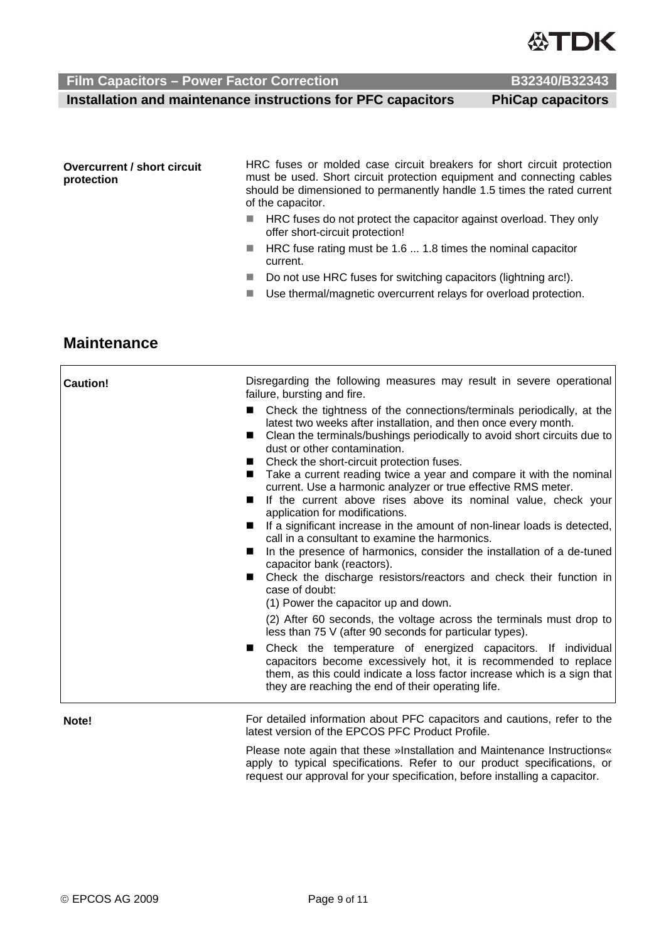**Installation and maintenance instructions for PFC capacitors PhiCap capacitors** 

HRC fuses or molded case circuit breakers for short circuit protection must be used. Short circuit protection equipment and connecting cables should be dimensioned to permanently handle 1.5 times the rated current of the capacitor.

- **HRC** fuses do not protect the capacitor against overload. They only offer short-circuit protection!
- HRC fuse rating must be 1.6 ... 1.8 times the nominal capacitor current.
- Do not use HRC fuses for switching capacitors (lightning arc!).
- Use thermal/magnetic overcurrent relays for overload protection.

# **Maintenance**

**Overcurrent / short circuit** 

**protection** 

| <b>Caution!</b> | Disregarding the following measures may result in severe operational<br>failure, bursting and fire.                                                                                                                                                                                 |
|-----------------|-------------------------------------------------------------------------------------------------------------------------------------------------------------------------------------------------------------------------------------------------------------------------------------|
|                 | Check the tightness of the connections/terminals periodically, at the<br>$\blacksquare$<br>latest two weeks after installation, and then once every month.<br>Clean the terminals/bushings periodically to avoid short circuits due to<br>dust or other contamination.              |
|                 | Check the short-circuit protection fuses.                                                                                                                                                                                                                                           |
|                 | Take a current reading twice a year and compare it with the nominal<br>current. Use a harmonic analyzer or true effective RMS meter.                                                                                                                                                |
|                 | If the current above rises above its nominal value, check your<br>■<br>application for modifications.                                                                                                                                                                               |
|                 | If a significant increase in the amount of non-linear loads is detected,<br>call in a consultant to examine the harmonics.                                                                                                                                                          |
|                 | In the presence of harmonics, consider the installation of a de-tuned<br>capacitor bank (reactors).                                                                                                                                                                                 |
|                 | Check the discharge resistors/reactors and check their function in<br>■<br>case of doubt:                                                                                                                                                                                           |
|                 | (1) Power the capacitor up and down.                                                                                                                                                                                                                                                |
|                 | (2) After 60 seconds, the voltage across the terminals must drop to<br>less than 75 V (after 90 seconds for particular types).                                                                                                                                                      |
|                 | Check the temperature of energized capacitors. If individual<br>$\blacksquare$<br>capacitors become excessively hot, it is recommended to replace<br>them, as this could indicate a loss factor increase which is a sign that<br>they are reaching the end of their operating life. |
|                 |                                                                                                                                                                                                                                                                                     |

**Note! For detailed information about PFC capacitors and cautions, refer to the** latest version of the EPCOS PFC Product Profile.

> Please note again that these »Installation and Maintenance Instructions« apply to typical specifications. Refer to our product specifications, or request our approval for your specification, before installing a capacitor.

**ASTDK**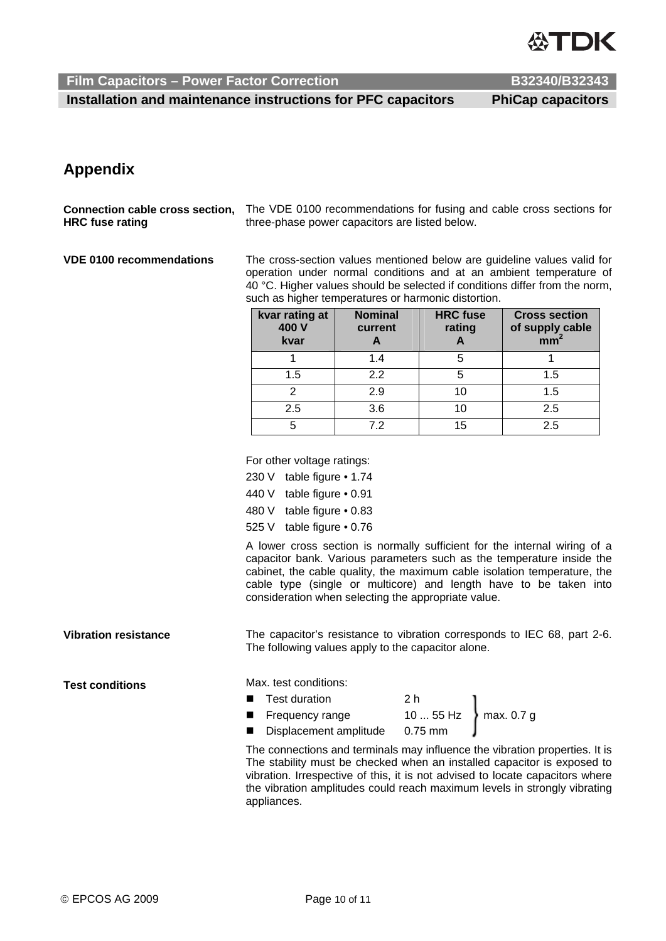

 **Installation and maintenance instructions for PFC capacitors PhiCap capacitors** 

# **Appendix**

**Connection cable cross section, HRC fuse rating**  The VDE 0100 recommendations for fusing and cable cross sections for three-phase power capacitors are listed below.

**VDE 0100 recommendations** The cross-section values mentioned below are guideline values valid for operation under normal conditions and at an ambient temperature of 40 °C. Higher values should be selected if conditions differ from the norm, such as higher temperatures or harmonic distortion.

| kvar rating at<br>400 V<br>kvar | <b>Nominal</b><br>current | <b>HRC</b> fuse<br>rating | <b>Cross section</b><br>of supply cable<br>mm <sup>2</sup> |
|---------------------------------|---------------------------|---------------------------|------------------------------------------------------------|
|                                 | 1.4                       | 5                         |                                                            |
| 1.5                             | 2.2                       | 5                         | 1.5                                                        |
| ⌒                               | 2.9                       | 10                        | 1.5                                                        |
| 2.5                             | 3.6                       | 10                        | 2.5                                                        |
| 5                               | 72                        | 15                        | 2.5                                                        |

For other voltage ratings:

230 V table figure • 1.74

440 V table figure • 0.91

480 V table figure • 0.83

525 V table figure • 0.76

A lower cross section is normally sufficient for the internal wiring of a capacitor bank. Various parameters such as the temperature inside the cabinet, the cable quality, the maximum cable isolation temperature, the cable type (single or multicore) and length have to be taken into consideration when selecting the appropriate value.

**Vibration resistance** The capacitor's resistance to vibration corresponds to IEC 68, part 2-6. The following values apply to the capacitor alone.

**Test conditions** Max. test conditions:

- **Test duration** ■ Test duration  $\begin{array}{c} 2 \text{ h} \\ \text{Frequency range} \end{array}$  10 ... 55 Hz  $\left.\right\}$  max. 0.7 g
	- Displacement amplitude

The connections and terminals may influence the vibration properties. It is The stability must be checked when an installed capacitor is exposed to vibration. Irrespective of this, it is not advised to locate capacitors where the vibration amplitudes could reach maximum levels in strongly vibrating appliances.